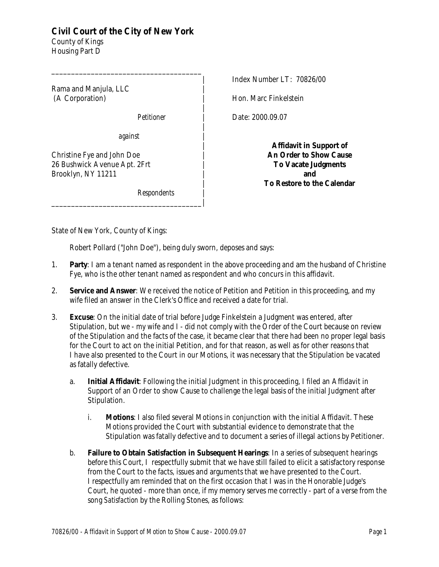## **Civil Court of the City of New York**

\_\_\_\_\_\_\_\_\_\_\_\_\_\_\_\_\_\_\_\_\_\_\_\_\_\_\_\_\_\_\_\_\_\_\_\_\_\_

County of Kings Housing Part D

Rama and Manjula, LLC | (A Corporation) |

 $Pettioner$ 

*against* |

\_\_\_\_\_\_\_\_\_\_\_\_\_\_\_\_\_\_\_\_\_\_\_\_\_\_\_\_\_\_\_\_\_\_\_\_\_\_|

Christine Fye and John Doe | 26 Bushwick Avenue Apt. 2Frt | Brooklyn, NY 11211 |

*Respondents* |

Index Number LT: 70826/00

Hon. Marc Finkelstein

Date: 2000.09.07

**Affidavit in Support of An Order to Show Cause To Vacate Judgments and To Restore to the Calendar**

State of New York, County of Kings:

Robert Pollard ("John Doe"), being duly sworn, deposes and says:

- 1. **Party**: I am a tenant named as respondent in the above proceeding and am the husband of Christine Fye, who is the other tenant named as respondent and who concurs in this affidavit.
- 2. **Service and Answer**: We received the notice of Petition and Petition in this proceeding, and my wife filed an answer in the Clerk's Office and received a date for trial.

|

|

|

|

|

- 3. **Excuse**: On the initial date of trial before Judge Finkelstein a Judgment was entered, after Stipulation, but we - my wife and I - did not comply with the Order of the Court because on review of the Stipulation and the facts of the case, it became clear that there had been no proper legal basis for the Court to act on the initial Petition, and for that reason, as well as for other reasons that I have also presented to the Court in our Motions, it was necessary that the Stipulation be vacated as fatally defective.
	- a. **Initial Affidavit**: Following the initial Judgment in this proceeding, I filed an Affidavit in Support of an Order to show Cause to challenge the legal basis of the initial Judgment after Stipulation.
		- i. **Motions**: I also filed several Motions in conjunction with the initial Affidavit. These Motions provided the Court with substantial evidence to demonstrate that the Stipulation was fatally defective and to document a series of illegal actions by Petitioner.
	- b. **Failure to Obtain Satisfaction in Subsequent Hearings**: In a series of subsequent hearings before this Court, I respectfully submit that we have still failed to elicit a satisfactory response from the Court to the facts, issues and arguments that we have presented to the Court. I respectfully am reminded that on the first occasion that I was in the Honorable Judge's Court, he quoted - more than once, if my memory serves me correctly - part of a verse from the song *Satisfaction* by the Rolling Stones, as follows: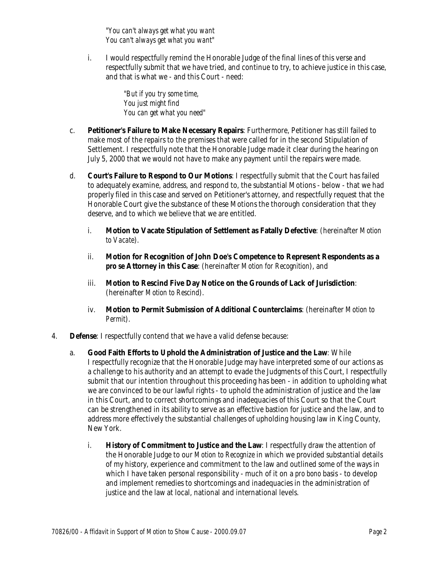*"You can't always get what you want You can't always get what you want"*

i. I would respectfully remind the Honorable Judge of the final lines of this verse and respectfully submit that we have tried, and continue to try, to achieve justice in this case, and that is what we - and this Court - need:

> *"But if you try some time, You just might find You can get what you need"*

- c. **Petitioner's Failure to Make Necessary Repairs**: Furthermore, Petitioner has still failed to make most of the repairs to the premises that were called for in the second Stipulation of Settlement. I respectfully note that the Honorable Judge made it clear during the hearing on July 5, 2000 that we would not have to make any payment until the repairs were made.
- d. **Court's Failure to Respond to Our Motions**: I respectfully submit that the Court has failed to adequately examine, address, and respond to, the substantial Motions - below - that we had properly filed in this case and served on Petitioner's attorney, and respectfully request that the Honorable Court give the substance of these Motions the thorough consideration that they deserve, and to which we believe that we are entitled.
	- i. **Motion to Vacate Stipulation of Settlement as Fatally Defective**: (hereinafter *Motion to Vacate*).
	- ii. **Motion for Recognition of John Doe's Competence to Represent Respondents as a** *pro se* **Attorney in this Case**: (hereinafter *Motion for Recognition*), and
	- iii. **Motion to Rescind Five Day Notice on the Grounds of Lack of Jurisdiction**: (hereinafter *Motion to Rescind*).
	- iv. **Motion to Permit Submission of Additional Counterclaims**: (hereinafter *Motion to Permit*).
- 4. **Defense**: I respectfully contend that we have a valid defense because:
	- a. **Good Faith Efforts to Uphold the Administration of Justice and the Law**: While I respectfully recognize that the Honorable Judge may have interpreted some of our actions as a challenge to his authority and an attempt to evade the Judgments of this Court, I respectfully submit that our intention throughout this proceeding has been - in addition to upholding what we are convinced to be our lawful rights - to uphold the administration of justice and the law in this Court, and to correct shortcomings and inadequacies of this Court so that the Court can be strengthened in its ability to serve as an effective bastion for justice and the law, and to address more effectively the substantial challenges of upholding housing law in King County, New York.
		- i. **History of Commitment to Justice and the Law**: I respectfully draw the attention of the Honorable Judge to our *Motion to Recognize* in which we provided substantial details of my history, experience and commitment to the law and outlined some of the ways in which I have taken personal responsibility - much of it on a *pro bono* basis - to develop and implement remedies to shortcomings and inadequacies in the administration of justice and the law at local, national and international levels.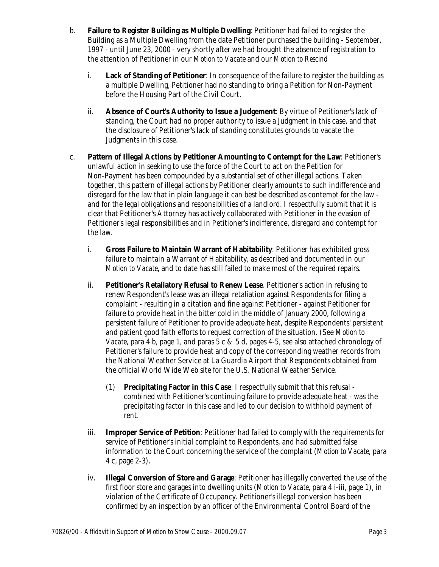- b. **Failure to Register Building as Multiple Dwelling**: Petitioner had failed to register the Building as a Multiple Dwelling from the date Petitioner purchased the building - September, 1997 - until June 23, 2000 - very shortly after we had brought the absence of registration to the attention of Petitioner in our *Motion to Vacate* and our *Motion to Rescind*
	- i. **Lack of Standing of Petitioner**: In consequence of the failure to register the building as a multiple Dwelling, Petitioner had no standing to bring a Petition for Non-Payment before the Housing Part of the Civil Court.
	- ii. **Absence of Court's Authority to Issue a Judgement**: By virtue of Petitioner's lack of standing, the Court had no proper authority to issue a Judgment in this case, and that the disclosure of Petitioner's lack of standing constitutes grounds to vacate the Judgments in this case.
- c. **Pattern of Illegal Actions by Petitioner Amounting to Contempt for the Law**: Petitioner's unlawful action in seeking to use the force of the Court to act on the Petition for Non-Payment has been compounded by a substantial set of other illegal actions. Taken together, this pattern of illegal actions by Petitioner clearly amounts to such indifference and disregard for the law that in plain language it can best be described as contempt for the law and for the legal obligations and responsibilities of a landlord. I respectfully submit that it is clear that Petitioner's Attorney has actively collaborated with Petitioner in the evasion of Petitioner's legal responsibilities and in Petitioner's indifference, disregard and contempt for the law.
	- i. **Gross Failure to Maintain Warrant of Habitability**: Petitioner has exhibited gross failure to maintain a Warrant of Habitability, as described and documented in our *Motion to Vacate*, and to date has still failed to make most of the required repairs.
	- ii. **Petitioner's Retaliatory Refusal to Renew Lease**. Petitioner's action in refusing to renew Respondent's lease was an illegal retaliation against Respondents for filing a complaint - resulting in a citation and fine against Petitioner - against Petitioner for failure to provide heat in the bitter cold in the middle of January 2000, following a persistent failure of Petitioner to provide adequate heat, despite Respondents' persistent and patient good faith efforts to request correction of the situation. (See *Motion to Vacate*, para 4 b, page 1, and paras 5 c & 5 d, pages 4-5, see also attached chronology of Petitioner's failure to provide heat and copy of the corresponding weather records from the National Weather Service at La Guardia Airport that Respondents obtained from the official World Wide Web site for the U.S. National Weather Service.
		- (1) **Precipitating Factor in this Case**: I respectfully submit that this refusal combined with Petitioner's continuing failure to provide adequate heat - was the precipitating factor in this case and led to our decision to withhold payment of rent.
	- iii. **Improper Service of Petition**: Petitioner had failed to comply with the requirements for service of Petitioner's initial complaint to Respondents, and had submitted false information to the Court concerning the service of the complaint (*Motion to Vacate*, para 4 c, page 2-3).
	- iv. **Illegal Conversion of Store and Garage**: Petitioner has illegally converted the use of the first floor store and garages into dwelling units (*Motion to Vacate*, para 4 i-iii, page 1), in violation of the Certificate of Occupancy. Petitioner's illegal conversion has been confirmed by an inspection by an officer of the Environmental Control Board of the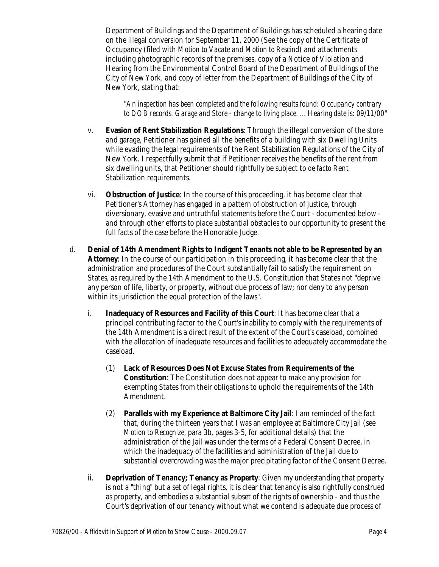Department of Buildings and the Department of Buildings has scheduled a hearing date on the illegal conversion for September 11, 2000 (See the copy of the Certificate of Occupancy (filed with *Motion to Vacate* and *Motion to Rescind*) and attachments including photographic records of the premises, copy of a Notice of Violation and Hearing from the Environmental Control Board of the Department of Buildings of the City of New York, and copy of letter from the Department of Buildings of the City of New York, stating that:

"*An inspection has been completed and the following results found: Occupancy contrary to DOB records. Garage and Store - change to living place. ... Hearing date is: 09/11/00*"

- v. **Evasion of Rent Stabilization Regulations**: Through the illegal conversion of the store and garage, Petitioner has gained all the benefits of a building with six Dwelling Units while evading the legal requirements of the Rent Stabilization Regulations of the City of New York. I respectfully submit that if Petitioner receives the benefits of the rent from six dwelling units, that Petitioner should rightfully be subject to *de facto* Rent Stabilization requirements.
- vi. **Obstruction of Justice**: In the course of this proceeding, it has become clear that Petitioner's Attorney has engaged in a pattern of obstruction of justice, through diversionary, evasive and untruthful statements before the Court - documented below and through other efforts to place substantial obstacles to our opportunity to present the full facts of the case before the Honorable Judge.
- d. **Denial of 14th Amendment Rights to Indigent Tenants not able to be Represented by an Attorney**: In the course of our participation in this proceeding, it has become clear that the administration and procedures of the Court substantially fail to satisfy the requirement on States, as required by the 14th Amendment to the U.S. Constitution that States not "deprive any person of life, liberty, or property, without due process of law; nor deny to any person within its jurisdiction the equal protection of the laws".
	- i. **Inadequacy of Resources and Facility of this Court**: It has become clear that a principal contributing factor to the Court's inability to comply with the requirements of the 14th Amendment is a direct result of the extent of the Court's caseload, combined with the allocation of inadequate resources and facilities to adequately accommodate the caseload.
		- (1) **Lack of Resources Does Not Excuse States from Requirements of the Constitution**: The Constitution does not appear to make any provision for exempting States from their obligations to uphold the requirements of the 14th Amendment.
		- (2) **Parallels with my Experience at Baltimore City Jail**: I am reminded of the fact that, during the thirteen years that I was an employee at Baltimore City Jail (see *Motion to Recognize*, para 3b, pages 3-5, for additional details) that the administration of the Jail was under the terms of a Federal Consent Decree, in which the inadequacy of the facilities and administration of the Jail due to substantial overcrowding was the major precipitating factor of the Consent Decree.
	- ii. **Deprivation of Tenancy; Tenancy as Property**: Given my understanding that property is not a "thing" but a set of legal rights, it is clear that tenancy is also rightfully construed as property, and embodies a substantial subset of the rights of ownership - and thus the Court's deprivation of our tenancy without what we contend is adequate due process of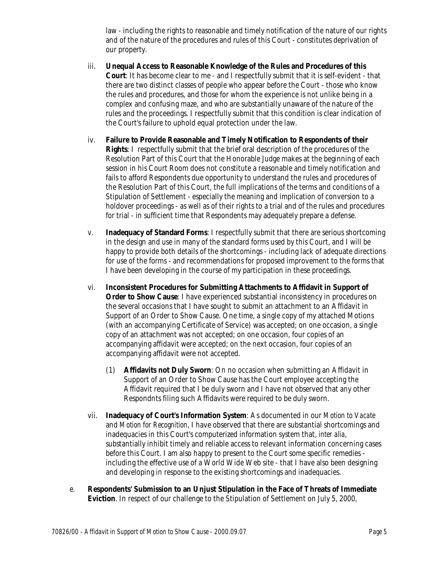law - including the rights to reasonable and timely notification of the nature of our rights and of the nature of the procedures and rules of this Court - constitutes deprivation of our property.

- iii. **Unequal Access to Reasonable Knowledge of the Rules and Procedures of this Court**: It has become clear to me - and I respectfully submit that it is self-evident - that there are two distinct classes of people who appear before the Court - those who know the rules and procedures, and those for whom the experience is not unlike being in a complex and confusing maze, and who are substantially unaware of the nature of the rules and the proceedings. I respectfully submit that this condition is clear indication of the Court's failure to uphold equal protection under the law.
- iv. **Failure to Provide Reasonable and Timely Notification to Respondents of their Rights**: I respectfully submit that the brief oral description of the procedures of the Resolution Part of this Court that the Honorable Judge makes at the beginning of each session in his Court Room does not constitute a reasonable and timely notification and fails to afford Respondents due opportunity to understand the rules and procedures of the Resolution Part of this Court, the full implications of the terms and conditions of a Stipulation of Settlement - especially the meaning and implication of conversion to a holdover proceedings - as well as of their rights to a trial and of the rules and procedures for trial - in sufficient time that Respondents may adequately prepare a defense.
- v. **Inadequacy of Standard Forms**: I respectfully submit that there are serious shortcoming in the design and use in many of the standard forms used by this Court, and I will be happy to provide both details of the shortcomings - including lack of adequate directions for use of the forms - and recommendations for proposed improvement to the forms that I have been developing in the course of my participation in these proceedings.
- vi. **Inconsistent Procedures for Submitting Attachments to Affidavit in Support of Order to Show Cause:** I have experienced substantial inconsistency in procedures on the several occasions that I have sought to submit an attachment to an Affidavit in Support of an Order to Show Cause. One time, a single copy of my attached Motions (with an accompanying Certificate of Service) was accepted; on one occasion, a single copy of an attachment was not accepted; on one occasion, four copies of an accompanying affidavit were accepted; on the next occasion, four copies of an accompanying affidavit were not accepted.
	- (1) **Affidavits not Duly Sworn**: On no occasion when submitting an Affidavit in Support of an Order to Show Cause has the Court employee accepting the Affidavit required that I be duly sworn and I have not observed that any other Respondnts filing such Affidavits were required to be duly sworn.
- vii. **Inadequacy of Court's Information System**: As documented in our *Motion to Vacate* and *Motion for Recognition*, I have observed that there are substantial shortcomings and inadequacies in this Court's computerized information system that, *inter alia*, substantially inhibit timely and reliable access to relevant information concerning cases before this Court. I am also happy to present to the Court some specific remedies including the effective use of a World Wide Web site - that I have also been designing and developing in response to the existing shortcomings and inadequacies.
- e. **Respondents' Submission to an Unjust Stipulation in the Face of Threats of Immediate Eviction**. In respect of our challenge to the Stipulation of Settlement on July 5, 2000,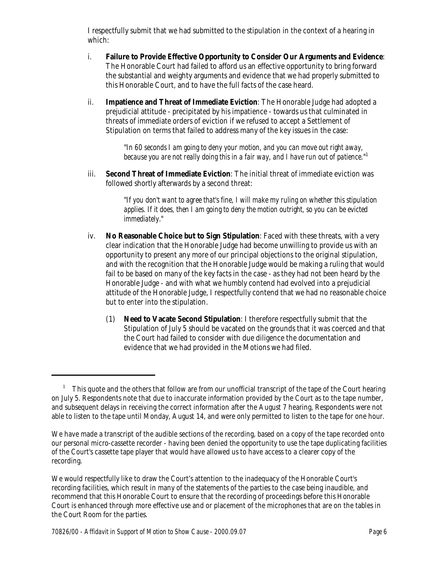I respectfully submit that we had submitted to the stipulation in the context of a hearing in which:

- i. **Failure to Provide Effective Opportunity to Consider Our Arguments and Evidence**: The Honorable Court had failed to afford us an effective opportunity to bring forward the substantial and weighty arguments and evidence that we had properly submitted to this Honorable Court, and to have the full facts of the case heard.
- ii. **Impatience and Threat of Immediate Eviction**: The Honorable Judge had adopted a prejudicial attitude - precipitated by his impatience - towards us that culminated in threats of immediate orders of eviction if we refused to accept a Settlement of Stipulation on terms that failed to address many of the key issues in the case:

"*In 60 seconds I am going to deny your motion, and you can move out right away, because you are not really doing this in a fair way, and I have run out of patience.*" 1

iii. **Second Threat of Immediate Eviction**: The initial threat of immediate eviction was followed shortly afterwards by a second threat:

> "*If you don't want to agree that's fine, I will make my ruling on whether this stipulation applies. If it does, then I am going to deny the motion outright, so you can be evicted immediately*."

- iv. **No Reasonable Choice but to Sign Stipulation**: Faced with these threats, with a very clear indication that the Honorable Judge had become unwilling to provide us with an opportunity to present any more of our principal objections to the original stipulation, and with the recognition that the Honorable Judge would be making a ruling that would fail to be based on many of the key facts in the case - as they had not been heard by the Honorable Judge - and with what we humbly contend had evolved into a prejudicial attitude of the Honorable Judge, I respectfully contend that we had no reasonable choice but to enter into the stipulation.
	- (1) **Need to Vacate Second Stipulation**: I therefore respectfully submit that the Stipulation of July 5 should be vacated on the grounds that it was coerced and that the Court had failed to consider with due diligence the documentation and evidence that we had provided in the Motions we had filed.

<sup>&</sup>lt;sup>1</sup> This quote and the others that follow are from our unofficial transcript of the tape of the Court hearing on July 5. Respondents note that due to inaccurate information provided by the Court as to the tape number, and subsequent delays in receiving the correct information after the August 7 hearing, Respondents were not able to listen to the tape until Monday, August 14, and were only permitted to listen to the tape for one hour.

We have made a transcript of the audible sections of the recording, based on a copy of the tape recorded onto our personal micro-cassette recorder - having been denied the opportunity to use the tape duplicating facilities of the Court's cassette tape player that would have allowed us to have access to a clearer copy of the recording.

We would respectfully like to draw the Court's attention to the inadequacy of the Honorable Court's recording facilities, which result in many of the statements of the parties to the case being inaudible, and recommend that this Honorable Court to ensure that the recording of proceedings before this Honorable Court is enhanced through more effective use and or placement of the microphones that are on the tables in the Court Room for the parties.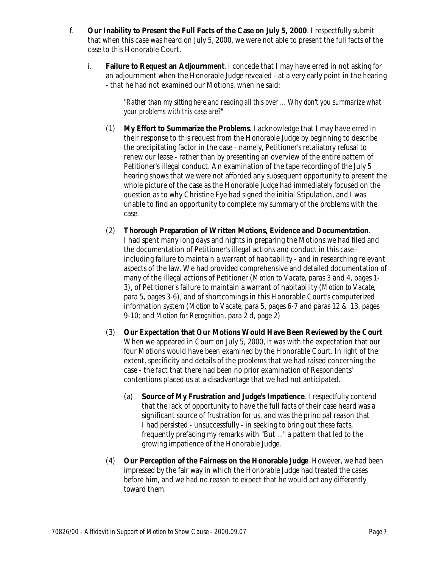- f. **Our Inability to Present the Full Facts of the Case on July 5, 2000**. I respectfully submit that when this case was heard on July 5, 2000, we were not able to present the full facts of the case to this Honorable Court.
	- i. **Failure to Request an Adjournment**. I concede that I may have erred in not asking for an adjournment when the Honorable Judge revealed - at a very early point in the hearing - that he had not examined our Motions, when he said:

"*Rather than my sitting here and reading all this over ... Why don't you summarize what your problems with this case are?*"

- (1) **My Effort to Summarize the Problems**. I acknowledge that I may have erred in their response to this request from the Honorable Judge by beginning to describe the precipitating factor in the case - namely, Petitioner's retaliatory refusal to renew our lease - rather than by presenting an overview of the entire pattern of Petitioner's illegal conduct. An examination of the tape recording of the July 5 hearing shows that we were not afforded any subsequent opportunity to present the whole picture of the case as the Honorable Judge had immediately focused on the question as to why Christine Fye had signed the initial Stipulation, and I was unable to find an opportunity to complete my summary of the problems with the case.
- (2) **Thorough Preparation of Written Motions, Evidence and Documentation**. I had spent many long days and nights in preparing the Motions we had filed and the documentation of Petitioner's illegal actions and conduct in this case including failure to maintain a warrant of habitability - and in researching relevant aspects of the law. We had provided comprehensive and detailed documentation of many of the illegal actions of Petitioner (*Motion to Vacate*, paras 3 and 4, pages 1- 3), of Petitioner's failure to maintain a warrant of habitability (*Motion to Vacate*, para 5, pages 3-6), and of shortcomings in this Honorable Court's computerized information system (*Motion to Vacate*, para 5, pages 6-7 and paras 12 & 13, pages 9-10; and *Motion for Recognition*, para 2 d, page 2)
- (3) **Our Expectation that Our Motions Would Have Been Reviewed by the Court**. When we appeared in Court on July 5, 2000, it was with the expectation that our four Motions would have been examined by the Honorable Court. In light of the extent, specificity and details of the problems that we had raised concerning the case - the fact that there had been no prior examination of Respondents' contentions placed us at a disadvantage that we had not anticipated.
	- (a) **Source of My Frustration and Judge's Impatience**. I respectfully contend that the lack of opportunity to have the full facts of their case heard was a significant source of frustration for us, and was the principal reason that I had persisted - unsuccessfully - in seeking to bring out these facts, frequently prefacing my remarks with "But ..." a pattern that led to the growing impatience of the Honorable Judge.
- (4) **Our Perception of the Fairness on the Honorable Judge**. However, we had been impressed by the fair way in which the Honorable Judge had treated the cases before him, and we had no reason to expect that he would act any differently toward them.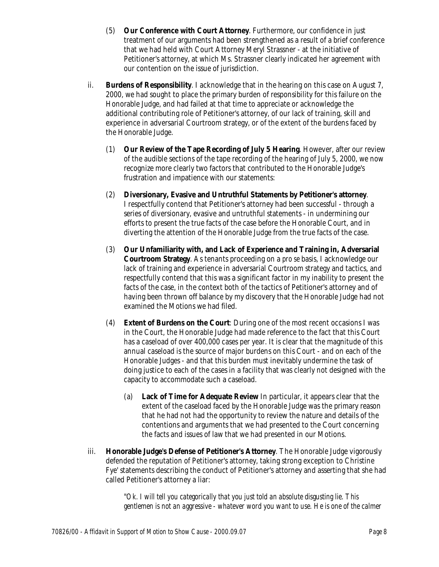- (5) **Our Conference with Court Attorney**. Furthermore, our confidence in just treatment of our arguments had been strengthened as a result of a brief conference that we had held with Court Attorney Meryl Strassner - at the initiative of Petitioner's attorney, at which Ms. Strassner clearly indicated her agreement with our contention on the issue of jurisdiction.
- ii. **Burdens of Responsibility**. I acknowledge that in the hearing on this case on August 7, 2000, we had sought to place the primary burden of responsibility for this failure on the Honorable Judge, and had failed at that time to appreciate or acknowledge the additional contributing role of Petitioner's attorney, of our lack of training, skill and experience in adversarial Courtroom strategy, or of the extent of the burdens faced by the Honorable Judge.
	- (1) **Our Review of the Tape Recording of July 5 Hearing**. However, after our review of the audible sections of the tape recording of the hearing of July 5, 2000, we now recognize more clearly two factors that contributed to the Honorable Judge's frustration and impatience with our statements:
	- (2) **Diversionary, Evasive and Untruthful Statements by Petitioner's attorney**. I respectfully contend that Petitioner's attorney had been successful - through a series of diversionary, evasive and untruthful statements - in undermining our efforts to present the true facts of the case before the Honorable Court, and in diverting the attention of the Honorable Judge from the true facts of the case.
	- (3) **Our Unfamiliarity with, and Lack of Experience and Training in, Adversarial Courtroom Strategy**. As tenants proceeding on a *pro se* basis, I acknowledge our lack of training and experience in adversarial Courtroom strategy and tactics, and respectfully contend that this was a significant factor in my inability to present the facts of the case, in the context both of the tactics of Petitioner's attorney and of having been thrown off balance by my discovery that the Honorable Judge had not examined the Motions we had filed.
	- (4) **Extent of Burdens on the Court**: During one of the most recent occasions I was in the Court, the Honorable Judge had made reference to the fact that this Court has a caseload of over 400,000 cases per year. It is clear that the magnitude of this annual caseload is the source of major burdens on this Court - and on each of the Honorable Judges - and that this burden must inevitably undermine the task of doing justice to each of the cases in a facility that was clearly not designed with the capacity to accommodate such a caseload.
		- (a) **Lack of Time for Adequate Review** In particular, it appears clear that the extent of the caseload faced by the Honorable Judge was the primary reason that he had not had the opportunity to review the nature and details of the contentions and arguments that we had presented to the Court concerning the facts and issues of law that we had presented in our Motions.
- iii. **Honorable Judge's Defense of Petitioner's Attorney**. The Honorable Judge vigorously defended the reputation of Petitioner's attorney, taking strong exception to Christine Fye' statements describing the conduct of Petitioner's attorney and asserting that she had called Petitioner's attorney a liar:

"*Ok. I will tell you categorically that you just told an absolute disgusting lie. This gentlemen is not an aggressive - whatever word you want to use. He is one of the calmer*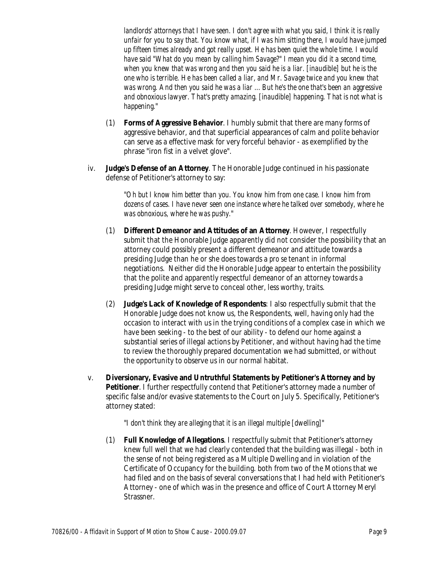*landlords' attorneys that I have seen. I don't agree with what you said, I think it is really unfair for you to say that. You know what, if I was him sitting there, I would have jumped up fifteen times already and got really upset. He has been quiet the whole time. I would have said "What do you mean by calling him Savage?" I mean you did it a second time, when you knew that was wrong and then you said he is a liar. [inaudible] but he is the one who is terrible. He has been called a liar, and Mr. Savage twice and you knew that was wrong. And then you said he was a liar ... But he's the one that's been an aggressive and obnoxious lawyer. That's pretty amazing. [inaudible] happening. That is not what is happening.*"

- (1) **Forms of Aggressive Behavior**. I humbly submit that there are many forms of aggressive behavior, and that superficial appearances of calm and polite behavior can serve as a effective mask for very forceful behavior - as exemplified by the phrase "iron fist in a velvet glove".
- iv. **Judge's Defense of an Attorney**. The Honorable Judge continued in his passionate defense of Petitioner's attorney to say:

"*Oh but I know him better than you. You know him from one case. I know him from dozens of cases. I have never seen one instance where he talked over somebody, where he was obnoxious, where he was pushy.*"

- (1) **Different Demeanor and Attitudes of an Attorney**. However, I respectfully submit that the Honorable Judge apparently did not consider the possibility that an attorney could possibly present a different demeanor and attitude towards a presiding Judge than he or she does towards a *pro se* tenant in informal negotiations. Neither did the Honorable Judge appear to entertain the possibility that the polite and apparently respectful demeanor of an attorney towards a presiding Judge might serve to conceal other, less worthy, traits.
- (2) **Judge's Lack of Knowledge of Respondents**: I also respectfully submit that the Honorable Judge does not know us, the Respondents, well, having only had the occasion to interact with us in the trying conditions of a complex case in which we have been seeking - to the best of our ability - to defend our home against a substantial series of illegal actions by Petitioner, and without having had the time to review the thoroughly prepared documentation we had submitted, or without the opportunity to observe us in our normal habitat.
- v. **Diversionary, Evasive and Untruthful Statements by Petitioner's Attorney and by Petitioner**. I further respectfully contend that Petitioner's attorney made a number of specific false and/or evasive statements to the Court on July 5. Specifically, Petitioner's attorney stated:

"*I don't think they are alleging that it is an illegal multiple [dwelling]*"

(1) **Full Knowledge of Allegations**. I respectfully submit that Petitioner's attorney knew full well that we had clearly contended that the building was illegal - both in the sense of not being registered as a Multiple Dwelling and in violation of the Certificate of Occupancy for the building. both from two of the Motions that we had filed and on the basis of several conversations that I had held with Petitioner's Attorney - one of which was in the presence and office of Court Attorney Meryl Strassner.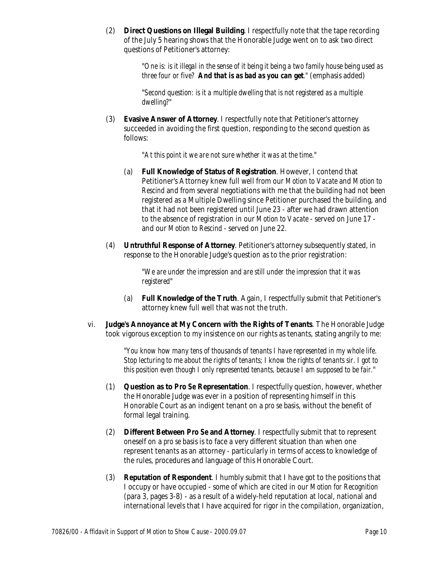(2) **Direct Questions on Illegal Building**. I respectfully note that the tape recording of the July 5 hearing shows that the Honorable Judge went on to ask two direct questions of Petitioner's attorney:

> "*One is: is it illegal in the sense of it being it being a two family house being used as three four or five? And that is as bad as you can get."* (emphasis added)

"*Second question: is it a multiple dwelling that is not registered as a multiple dwelling?*"

(3) **Evasive Answer of Attorney**. I respectfully note that Petitioner's attorney succeeded in avoiding the first question, responding to the second question as follows:

"*At this point it we are not sure whether it was at the time*."

- (a) **Full Knowledge of Status of Registration**. However, I contend that Petitioner's Attorney knew full well from our *Motion to Vacate* and *Motion to Rescind* and from several negotiations with me that the building had not been registered as a Multiple Dwelling since Petitioner purchased the building, and that it had not been registered until June 23 - after we had drawn attention to the absence of registration in our *Motion to Vacate* - served on June 17 and our *Motion to Rescind* - served on June 22.
- (4) **Untruthful Response of Attorney**. Petitioner's attorney subsequently stated, in response to the Honorable Judge's question as to the prior registration:

"*We are under the impression and are still under the impression that it was registered*"

- (a) **Full Knowledge of the Truth**. Again, I respectfully submit that Petitioner's attorney knew full well that was not the truth.
- vi. **Judge's Annoyance at My Concern with the Rights of Tenants**. The Honorable Judge took vigorous exception to my insistence on our rights as tenants, stating angrily to me:

"*You know how many tens of thousands of tenants I have represented in my whole life. Stop lecturing to me about the rights of tenants; I know the rights of tenants sir. I got to this position even though I only represented tenants, because I am supposed to be fair.*"

- (1) **Question as to** *Pro Se* **Representation**. I respectfully question, however, whether the Honorable Judge was ever in a position of representing himself in this Honorable Court as an indigent tenant on a *pro se* basis, without the benefit of formal legal training.
- (2) **Different Between** *Pro Se* **and Attorney**. I respectfully submit that to represent oneself on a *pro se* basis is to face a very different situation than when one represent tenants as an attorney - particularly in terms of access to knowledge of the rules, procedures and language of this Honorable Court.
- (3) **Reputation of Respondent**. I humbly submit that I have got to the positions that I occupy or have occupied - some of which are cited in our *Motion for Recognition* (para 3, pages 3-8) - as a result of a widely-held reputation at local, national and international levels that I have acquired for rigor in the compilation, organization,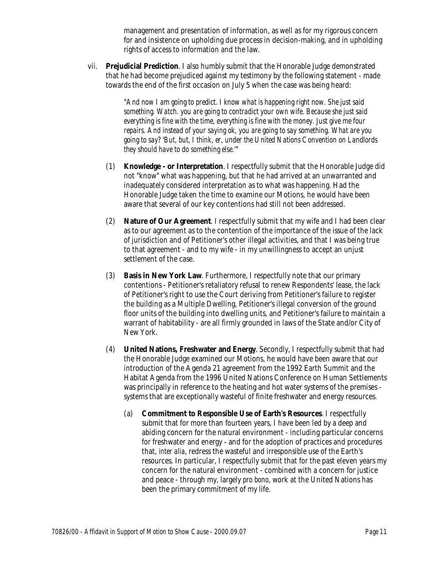management and presentation of information, as well as for my rigorous concern for and insistence on upholding due process in decision-making, and in upholding rights of access to information and the law.

vii. **Prejudicial Prediction**. I also humbly submit that the Honorable Judge demonstrated that he had become prejudiced against my testimony by the following statement - made towards the end of the first occasion on July 5 when the case was being heard:

> "*And now I am going to predict. I know what is happening right now. She just said something. Watch. you are going to contradict your own wife. Because she just said everything is fine with the time, everything is fine with the money. Just give me four repairs. And instead of your saying ok, you are going to say something. What are you going to say? 'But, but, I think, er, under the United Nations Convention on Landlords they should have to do something else.'*"

- (1) **Knowledge or Interpretation**. I respectfully submit that the Honorable Judge did not "know" what was happening, but that he had arrived at an unwarranted and inadequately considered interpretation as to what was happening. Had the Honorable Judge taken the time to examine our Motions, he would have been aware that several of our key contentions had still not been addressed.
- (2) **Nature of Our Agreement**. I respectfully submit that my wife and I had been clear as to our agreement as to the contention of the importance of the issue of the lack of jurisdiction and of Petitioner's other illegal activities, and that I was being true to that agreement - and to my wife - in my unwillingness to accept an unjust settlement of the case.
- (3) **Basis in New York Law**. Furthermore, I respectfully note that our primary contentions - Petitioner's retaliatory refusal to renew Respondents' lease, the lack of Petitioner's right to use the Court deriving from Petitioner's failure to register the building as a Multiple Dwelling, Petitioner's illegal conversion of the ground floor units of the building into dwelling units, and Petitioner's failure to maintain a warrant of habitability - are all firmly grounded in laws of the State and/or City of New York.
- (4) **United Nations, Freshwater and Energy**. Secondly, I respectfully submit that had the Honorable Judge examined our Motions, he would have been aware that our introduction of the Agenda 21 agreement from the 1992 Earth Summit and the Habitat Agenda from the 1996 United Nations Conference on Human Settlements was principally in reference to the heating and hot water systems of the premises systems that are exceptionally wasteful of finite freshwater and energy resources.
	- (a) **Commitment to Responsible Use of Earth's Resources**. I respectfully submit that for more than fourteen years, I have been led by a deep and abiding concern for the natural environment - including particular concerns for freshwater and energy - and for the adoption of practices and procedures that, *inter alia*, redress the wasteful and irresponsible use of the Earth's resources. In particular, I respectfully submit that for the past eleven years my concern for the natural environment - combined with a concern for justice and peace - through my, largely *pro bono*, work at the United Nations has been the primary commitment of my life.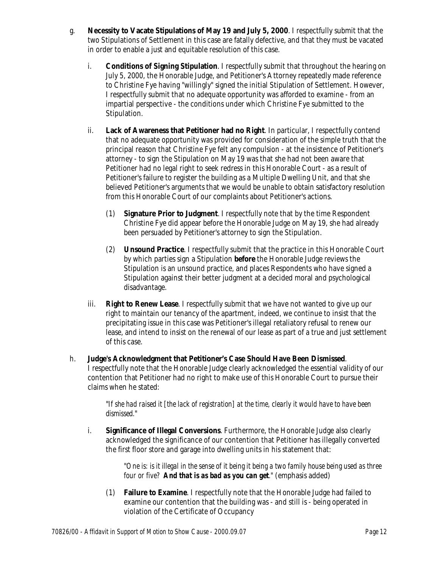- g. **Necessity to Vacate Stipulations of May 19 and July 5, 2000**. I respectfully submit that the two Stipulations of Settlement in this case are fatally defective, and that they must be vacated in order to enable a just and equitable resolution of this case.
	- i. **Conditions of Signing Stipulation**. I respectfully submit that throughout the hearing on July 5, 2000, the Honorable Judge, and Petitioner's Attorney repeatedly made reference to Christine Fye having "willingly" signed the initial Stipulation of Settlement. However, I respectfully submit that no adequate opportunity was afforded to examine - from an impartial perspective - the conditions under which Christine Fye submitted to the Stipulation.
	- ii. **Lack of Awareness that Petitioner had no Right**. In particular, I respectfully contend that no adequate opportunity was provided for consideration of the simple truth that the principal reason that Christine Fye felt any compulsion - at the insistence of Petitioner's attorney - to sign the Stipulation on May 19 was that she had not been aware that Petitioner had no legal right to seek redress in this Honorable Court - as a result of Petitioner's failure to register the building as a Multiple Dwelling Unit, and that she believed Petitioner's arguments that we would be unable to obtain satisfactory resolution from this Honorable Court of our complaints about Petitioner's actions.
		- (1) **Signature Prior to Judgment**. I respectfully note that by the time Respondent Christine Fye did appear before the Honorable Judge on May 19, she had already been persuaded by Petitioner's attorney to sign the Stipulation.
		- (2) **Unsound Practice**. I respectfully submit that the practice in this Honorable Court by which parties sign a Stipulation **before** the Honorable Judge reviews the Stipulation is an unsound practice, and places Respondents who have signed a Stipulation against their better judgment at a decided moral and psychological disadvantage.
	- iii. **Right to Renew Lease**. I respectfully submit that we have not wanted to give up our right to maintain our tenancy of the apartment, indeed, we continue to insist that the precipitating issue in this case was Petitioner's illegal retaliatory refusal to renew our lease, and intend to insist on the renewal of our lease as part of a true and just settlement of this case.
- h. **Judge's Acknowledgment that Petitioner's Case Should Have Been Dismissed**. I respectfully note that the Honorable Judge clearly acknowledged the essential validity of our contention that Petitioner had no right to make use of this Honorable Court to pursue their claims when he stated:

"*If she had raised it [the lack of registration] at the time, clearly it would have to have been dismissed.*"

i. **Significance of Illegal Conversions**. Furthermore, the Honorable Judge also clearly acknowledged the significance of our contention that Petitioner has illegally converted the first floor store and garage into dwelling units in his statement that:

> "*One is: is it illegal in the sense of it being it being a two family house being used as three four or five? And that is as bad as you can get."* (emphasis added)

(1) **Failure to Examine**. I respectfully note that the Honorable Judge had failed to examine our contention that the building was - and still is - being operated in violation of the Certificate of Occupancy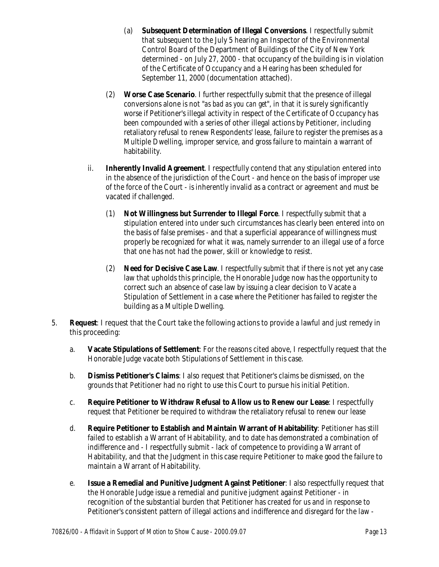- (a) **Subsequent Determination of Illegal Conversions**. I respectfully submit that subsequent to the July 5 hearing an Inspector of the Environmental Control Board of the Department of Buildings of the City of New York determined - on July 27, 2000 - that occupancy of the building is in violation of the Certificate of Occupancy and a Hearing has been scheduled for September 11, 2000 (documentation attached).
- (2) **Worse Case Scenario**. I further respectfully submit that the presence of illegal conversions alone is not "*as bad as you can get*", in that it is surely significantly worse if Petitioner's illegal activity in respect of the Certificate of Occupancy has been compounded with a series of other illegal actions by Petitioner, including retaliatory refusal to renew Respondents' lease, failure to register the premises as a Multiple Dwelling, improper service, and gross failure to maintain a warrant of habitability.
- ii. **Inherently Invalid Agreement**. I respectfully contend that any stipulation entered into in the absence of the jurisdiction of the Court - and hence on the basis of improper use of the force of the Court - is inherently invalid as a contract or agreement and must be vacated if challenged.
	- (1) **Not Willingness but Surrender to Illegal Force**. I respectfully submit that a stipulation entered into under such circumstances has clearly been entered into on the basis of false premises - and that a superficial appearance of willingness must properly be recognized for what it was, namely surrender to an illegal use of a force that one has not had the power, skill or knowledge to resist.
	- (2) **Need for Decisive Case Law**. I respectfully submit that if there is not yet any case law that upholds this principle, the Honorable Judge now has the opportunity to correct such an absence of case law by issuing a clear decision to Vacate a Stipulation of Settlement in a case where the Petitioner has failed to register the building as a Multiple Dwelling.
- 5. **Request**: I request that the Court take the following actions to provide a lawful and just remedy in this proceeding:
	- a. **Vacate Stipulations of Settlement**: For the reasons cited above, I respectfully request that the Honorable Judge vacate both Stipulations of Settlement in this case.
	- b. **Dismiss Petitioner's Claims**: I also request that Petitioner's claims be dismissed, on the grounds that Petitioner had no right to use this Court to pursue his initial Petition.
	- c. **Require Petitioner to Withdraw Refusal to Allow us to Renew our Lease**: I respectfully request that Petitioner be required to withdraw the retaliatory refusal to renew our lease
	- d. **Require Petitioner to Establish and Maintain Warrant of Habitability**: Petitioner has still failed to establish a Warrant of Habitability, and to date has demonstrated a combination of indifference and - I respectfully submit - lack of competence to providing a Warrant of Habitability, and that the Judgment in this case require Petitioner to make good the failure to maintain a Warrant of Habitability.
	- e. **Issue a Remedial and Punitive Judgment Against Petitioner**: I also respectfully request that the Honorable Judge issue a remedial and punitive judgment against Petitioner - in recognition of the substantial burden that Petitioner has created for us and in response to Petitioner's consistent pattern of illegal actions and indifference and disregard for the law -